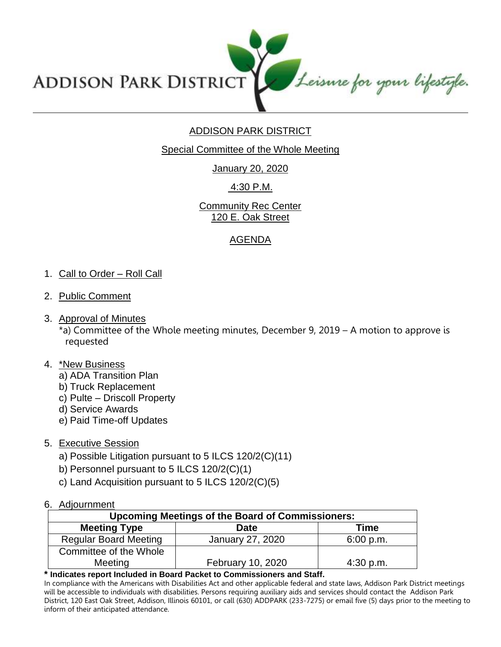Leisure for your lifestyle. **ADDISON PARK DISTRICT** 

# ADDISON PARK DISTRICT

Special Committee of the Whole Meeting

January 20, 2020

4:30 P.M.

**Community Rec Center** 120 E. Oak Street

## AGENDA

## 1. Call to Order – Roll Call

- 2. Public Comment
- 3. Approval of Minutes

\*a) Committee of the Whole meeting minutes, December 9, 2019 – A motion to approve is requested

## 4. \*New Business

- a) ADA Transition Plan
- b) Truck Replacement
- c) Pulte Driscoll Property
- d) Service Awards
- e) Paid Time-off Updates
- 5. Executive Session
	- a) Possible Litigation pursuant to 5 ILCS 120/2(C)(11)
	- b) Personnel pursuant to 5 ILCS 120/2(C)(1)
	- c) Land Acquisition pursuant to 5 ILCS 120/2(C)(5)

#### 6. Adjournment

| <b>Upcoming Meetings of the Board of Commissioners:</b> |                   |             |
|---------------------------------------------------------|-------------------|-------------|
| <b>Meeting Type</b>                                     | Date              | Time        |
| <b>Regular Board Meeting</b>                            | January 27, 2020  | 6:00 p.m.   |
| Committee of the Whole                                  |                   |             |
| Meeting                                                 | February 10, 2020 | $4:30$ p.m. |

**\* Indicates report Included in Board Packet to Commissioners and Staff.**

In compliance with the Americans with Disabilities Act and other applicable federal and state laws, Addison Park District meetings will be accessible to individuals with disabilities. Persons requiring auxiliary aids and services should contact the Addison Park District, 120 East Oak Street, Addison, Illinois 60101, or call (630) ADDPARK (233-7275) or email five (5) days prior to the meeting to inform of their anticipated attendance.